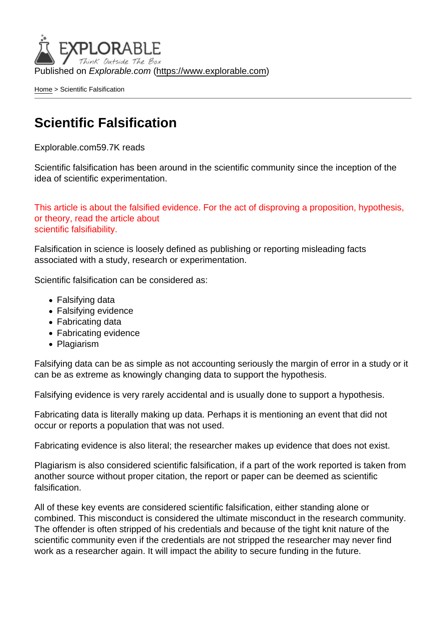Published on Explorable.com (<https://www.explorable.com>)

[Home](https://www.explorable.com/) > Scientific Falsification

## Scientific Falsification

Explorable.com59.7K reads

Scientific falsification has been around in the scientific community since the inception of the idea of scientific experimentation.

This article is about the falsified evidence. For the act of disproving a proposition, hypothesis, or theory, read the article about scientific falsifiability.

Falsification in science is loosely defined as publishing or reporting misleading facts associated with a study, research or experimentation.

Scientific falsification can be considered as:

- Falsifying data
- Falsifying evidence
- Fabricating data
- Fabricating evidence
- Plagiarism

Falsifying data can be as simple as not accounting seriously the margin of error in a study or it can be as extreme as knowingly changing data to support the hypothesis.

Falsifying evidence is very rarely accidental and is usually done to support a hypothesis.

Fabricating data is literally making up data. Perhaps it is mentioning an event that did not occur or reports a population that was not used.

Fabricating evidence is also literal; the researcher makes up evidence that does not exist.

Plagiarism is also considered scientific falsification, if a part of the work reported is taken from another source without proper citation, the report or paper can be deemed as scientific falsification.

All of these key events are considered scientific falsification, either standing alone or combined. This misconduct is considered the ultimate misconduct in the research community. The offender is often stripped of his credentials and because of the tight knit nature of the scientific community even if the credentials are not stripped the researcher may never find work as a researcher again. It will impact the ability to secure funding in the future.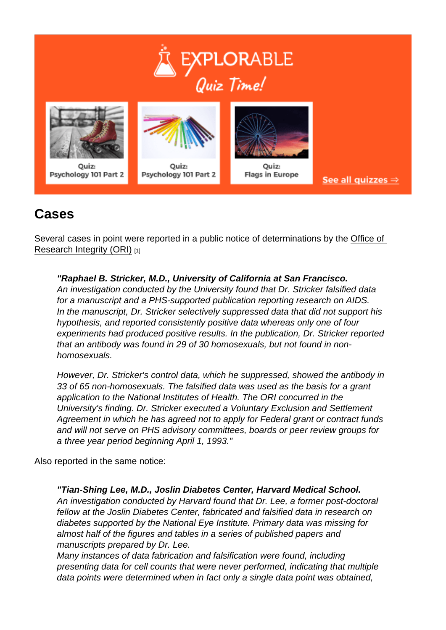## Cases

Several cases in point were reported in a public notice of determinations by the [Office of](http://grants.nih.gov/grants/guide/notice-files/not93-177)  [Research Integrity \(ORI\)](http://grants.nih.gov/grants/guide/notice-files/not93-177) [1]

"Raphael B. Stricker, M.D., University of California at San Francisco. An investigation conducted by the University found that Dr. Stricker falsified data for a manuscript and a PHS-supported publication reporting research on AIDS. In the manuscript, Dr. Stricker selectively suppressed data that did not support his hypothesis, and reported consistently positive data whereas only one of four experiments had produced positive results. In the publication, Dr. Stricker reported that an antibody was found in 29 of 30 homosexuals, but not found in nonhomosexuals.

However, Dr. Stricker's control data, which he suppressed, showed the antibody in 33 of 65 non-homosexuals. The falsified data was used as the basis for a grant application to the National Institutes of Health. The ORI concurred in the University's finding. Dr. Stricker executed a Voluntary Exclusion and Settlement Agreement in which he has agreed not to apply for Federal grant or contract funds and will not serve on PHS advisory committees, boards or peer review groups for a three year period beginning April 1, 1993."

Also reported in the same notice:

"Tian-Shing Lee, M.D., Joslin Diabetes Center, Harvard Medical School. An investigation conducted by Harvard found that Dr. Lee, a former post-doctoral fellow at the Joslin Diabetes Center, fabricated and falsified data in research on diabetes supported by the National Eye Institute. Primary data was missing for almost half of the figures and tables in a series of published papers and manuscripts prepared by Dr. Lee.

Many instances of data fabrication and falsification were found, including presenting data for cell counts that were never performed, indicating that multiple data points were determined when in fact only a single data point was obtained,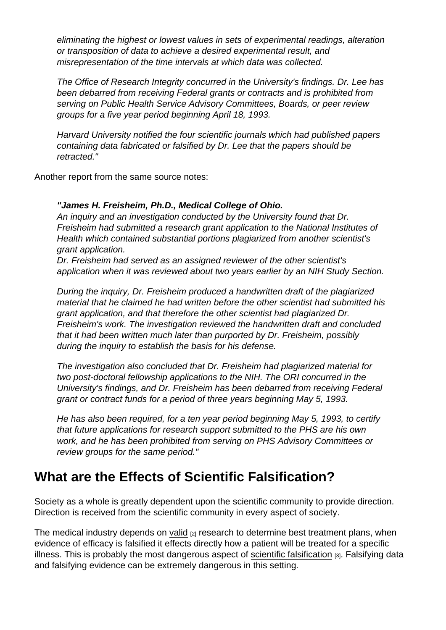eliminating the highest or lowest values in sets of experimental readings, alteration or transposition of data to achieve a desired experimental result, and misrepresentation of the time intervals at which data was collected.

The Office of Research Integrity concurred in the University's findings. Dr. Lee has been debarred from receiving Federal grants or contracts and is prohibited from serving on Public Health Service Advisory Committees, Boards, or peer review groups for a five year period beginning April 18, 1993.

Harvard University notified the four scientific journals which had published papers containing data fabricated or falsified by Dr. Lee that the papers should be retracted."

Another report from the same source notes:

"James H. Freisheim, Ph.D., Medical College of Ohio.

An inquiry and an investigation conducted by the University found that Dr. Freisheim had submitted a research grant application to the National Institutes of Health which contained substantial portions plagiarized from another scientist's grant application.

Dr. Freisheim had served as an assigned reviewer of the other scientist's application when it was reviewed about two years earlier by an NIH Study Section.

During the inquiry, Dr. Freisheim produced a handwritten draft of the plagiarized material that he claimed he had written before the other scientist had submitted his grant application, and that therefore the other scientist had plagiarized Dr. Freisheim's work. The investigation reviewed the handwritten draft and concluded that it had been written much later than purported by Dr. Freisheim, possibly during the inquiry to establish the basis for his defense.

The investigation also concluded that Dr. Freisheim had plagiarized material for two post-doctoral fellowship applications to the NIH. The ORI concurred in the University's findings, and Dr. Freisheim has been debarred from receiving Federal grant or contract funds for a period of three years beginning May 5, 1993.

He has also been required, for a ten year period beginning May 5, 1993, to certify that future applications for research support submitted to the PHS are his own work, and he has been prohibited from serving on PHS Advisory Committees or review groups for the same period."

## What are the Effects of Scientific Falsification?

Society as a whole is greatly dependent upon the scientific community to provide direction. Direction is received from the scientific community in every aspect of society.

The medical industry depends on [valid](https://www.explorable.com/validity-and-reliability)  $_{[2]}$  research to determine best treatment plans, when evidence of efficacy is falsified it effects directly how a patient will be treated for a specific illness. This is probably the most dangerous aspect of [scientific falsification](http://en.wikipedia.org/wiki/Fabrication_(science)) [3]. Falsifying data and falsifying evidence can be extremely dangerous in this setting.